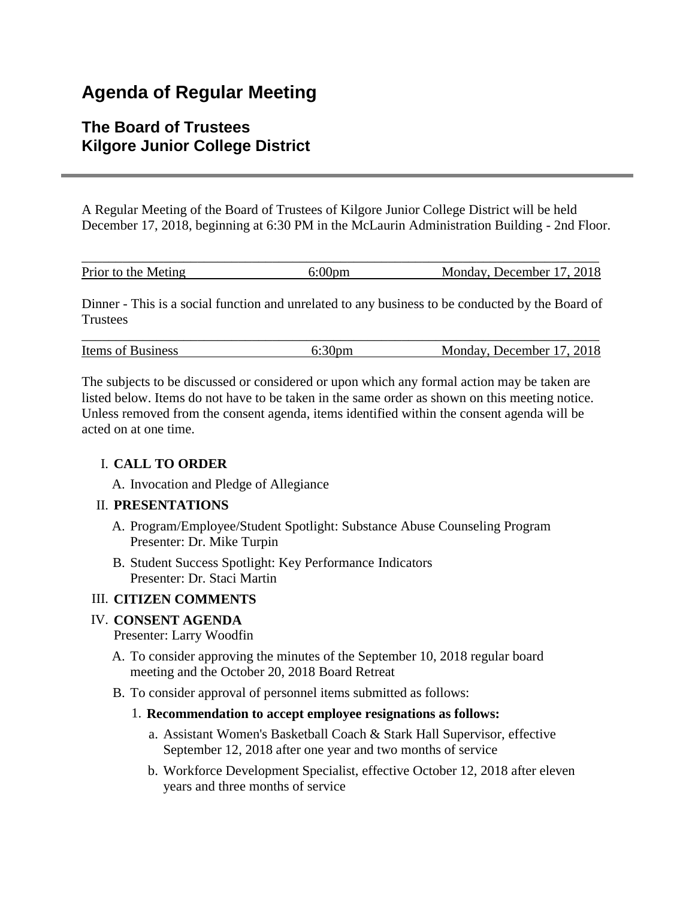# **Agenda of Regular Meeting**

# **The Board of Trustees Kilgore Junior College District**

A Regular Meeting of the Board of Trustees of Kilgore Junior College District will be held December 17, 2018, beginning at 6:30 PM in the McLaurin Administration Building - 2nd Floor.

| Prior to the Meting | ):UUDM | Monday, December 17, 2018 |
|---------------------|--------|---------------------------|

Dinner - This is a social function and unrelated to any business to be conducted by the Board of **Trustees** 

| <b>Items of Business</b> | Monday, December 17, 2018 |
|--------------------------|---------------------------|

The subjects to be discussed or considered or upon which any formal action may be taken are listed below. Items do not have to be taken in the same order as shown on this meeting notice. Unless removed from the consent agenda, items identified within the consent agenda will be acted on at one time.

#### I. **CALL TO ORDER**

A. Invocation and Pledge of Allegiance

#### II. **PRESENTATIONS**

- A. Program/Employee/Student Spotlight: Substance Abuse Counseling Program Presenter: Dr. Mike Turpin
- B. Student Success Spotlight: Key Performance Indicators Presenter: Dr. Staci Martin

## III. **CITIZEN COMMENTS**

## IV. **CONSENT AGENDA**

#### Presenter: Larry Woodfin

- A. To consider approving the minutes of the September 10, 2018 regular board meeting and the October 20, 2018 Board Retreat
- B. To consider approval of personnel items submitted as follows:
	- 1. **Recommendation to accept employee resignations as follows:**
		- a. Assistant Women's Basketball Coach & Stark Hall Supervisor, effective September 12, 2018 after one year and two months of service
		- b. Workforce Development Specialist, effective October 12, 2018 after eleven years and three months of service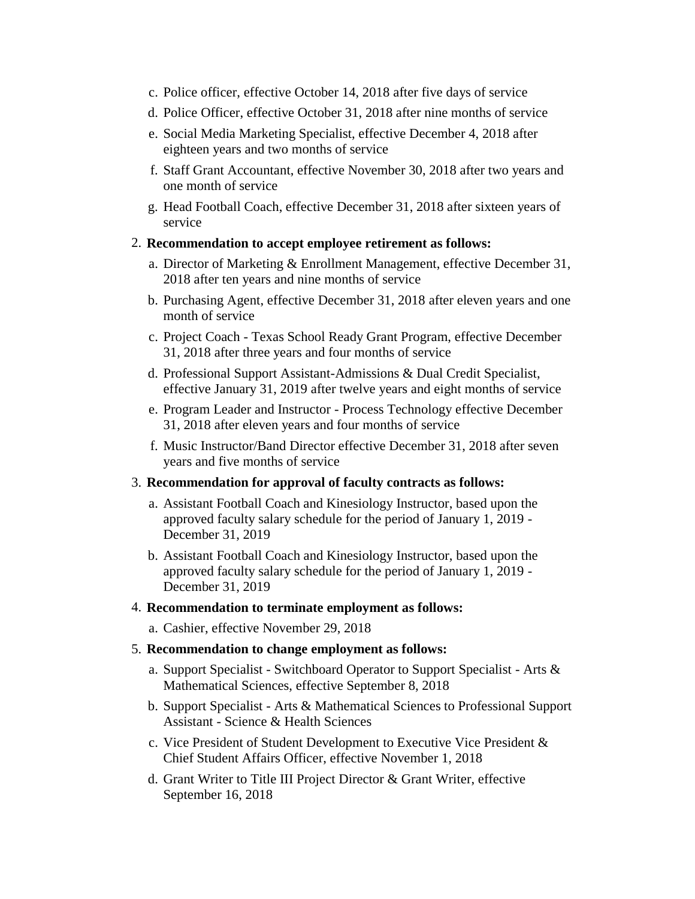- c. Police officer, effective October 14, 2018 after five days of service
- d. Police Officer, effective October 31, 2018 after nine months of service
- e. Social Media Marketing Specialist, effective December 4, 2018 after eighteen years and two months of service
- f. Staff Grant Accountant, effective November 30, 2018 after two years and one month of service
- g. Head Football Coach, effective December 31, 2018 after sixteen years of service
- 2. **Recommendation to accept employee retirement as follows:**
	- a. Director of Marketing & Enrollment Management, effective December 31, 2018 after ten years and nine months of service
	- b. Purchasing Agent, effective December 31, 2018 after eleven years and one month of service
	- c. Project Coach Texas School Ready Grant Program, effective December 31, 2018 after three years and four months of service
	- d. Professional Support Assistant-Admissions & Dual Credit Specialist, effective January 31, 2019 after twelve years and eight months of service
	- e. Program Leader and Instructor Process Technology effective December 31, 2018 after eleven years and four months of service
	- f. Music Instructor/Band Director effective December 31, 2018 after seven years and five months of service

#### 3. **Recommendation for approval of faculty contracts as follows:**

- a. Assistant Football Coach and Kinesiology Instructor, based upon the approved faculty salary schedule for the period of January 1, 2019 - December 31, 2019
- b. Assistant Football Coach and Kinesiology Instructor, based upon the approved faculty salary schedule for the period of January 1, 2019 - December 31, 2019

#### 4. **Recommendation to terminate employment as follows:**

a. Cashier, effective November 29, 2018

#### 5. **Recommendation to change employment as follows:**

- a. Support Specialist Switchboard Operator to Support Specialist Arts & Mathematical Sciences, effective September 8, 2018
- b. Support Specialist Arts & Mathematical Sciences to Professional Support Assistant - Science & Health Sciences
- c. Vice President of Student Development to Executive Vice President & Chief Student Affairs Officer, effective November 1, 2018
- d. Grant Writer to Title III Project Director & Grant Writer, effective September 16, 2018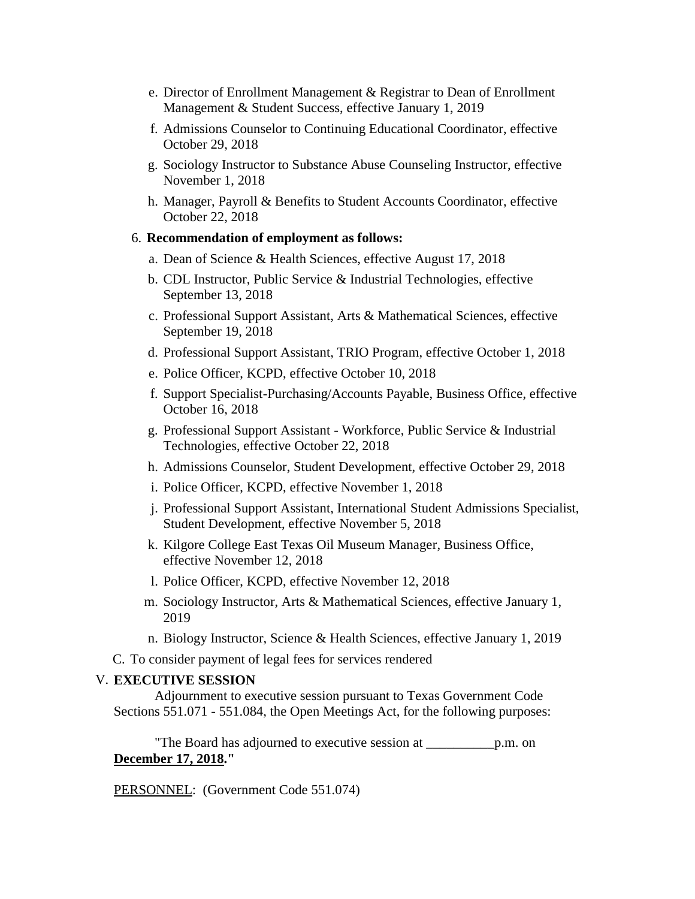- e. Director of Enrollment Management & Registrar to Dean of Enrollment Management & Student Success, effective January 1, 2019
- f. Admissions Counselor to Continuing Educational Coordinator, effective October 29, 2018
- g. Sociology Instructor to Substance Abuse Counseling Instructor, effective November 1, 2018
- h. Manager, Payroll & Benefits to Student Accounts Coordinator, effective October 22, 2018

#### 6. **Recommendation of employment as follows:**

- a. Dean of Science & Health Sciences, effective August 17, 2018
- b. CDL Instructor, Public Service & Industrial Technologies, effective September 13, 2018
- c. Professional Support Assistant, Arts & Mathematical Sciences, effective September 19, 2018
- d. Professional Support Assistant, TRIO Program, effective October 1, 2018
- e. Police Officer, KCPD, effective October 10, 2018
- f. Support Specialist-Purchasing/Accounts Payable, Business Office, effective October 16, 2018
- g. Professional Support Assistant Workforce, Public Service & Industrial Technologies, effective October 22, 2018
- h. Admissions Counselor, Student Development, effective October 29, 2018
- i. Police Officer, KCPD, effective November 1, 2018
- j. Professional Support Assistant, International Student Admissions Specialist, Student Development, effective November 5, 2018
- k. Kilgore College East Texas Oil Museum Manager, Business Office, effective November 12, 2018
- l. Police Officer, KCPD, effective November 12, 2018
- m. Sociology Instructor, Arts & Mathematical Sciences, effective January 1, 2019
- n. Biology Instructor, Science & Health Sciences, effective January 1, 2019

C. To consider payment of legal fees for services rendered

#### V. **EXECUTIVE SESSION**

 Adjournment to executive session pursuant to Texas Government Code Sections 551.071 - 551.084, the Open Meetings Act, for the following purposes:

 "The Board has adjourned to executive session at \_\_\_\_\_\_\_\_\_\_p.m. on **December 17, 2018."**

PERSONNEL: (Government Code 551.074)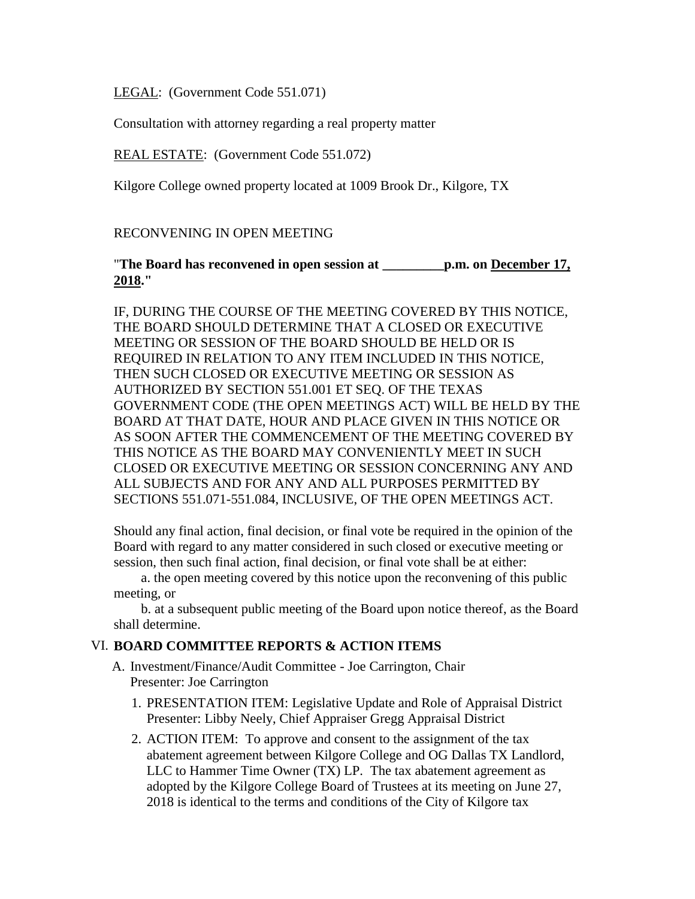LEGAL: (Government Code 551.071)

Consultation with attorney regarding a real property matter

REAL ESTATE: (Government Code 551.072)

Kilgore College owned property located at 1009 Brook Dr., Kilgore, TX

RECONVENING IN OPEN MEETING

"**The Board has reconvened in open session at \_\_\_\_\_\_\_\_\_p.m. on December 17, 2018."**

IF, DURING THE COURSE OF THE MEETING COVERED BY THIS NOTICE, THE BOARD SHOULD DETERMINE THAT A CLOSED OR EXECUTIVE MEETING OR SESSION OF THE BOARD SHOULD BE HELD OR IS REQUIRED IN RELATION TO ANY ITEM INCLUDED IN THIS NOTICE, THEN SUCH CLOSED OR EXECUTIVE MEETING OR SESSION AS AUTHORIZED BY SECTION 551.001 ET SEQ. OF THE TEXAS GOVERNMENT CODE (THE OPEN MEETINGS ACT) WILL BE HELD BY THE BOARD AT THAT DATE, HOUR AND PLACE GIVEN IN THIS NOTICE OR AS SOON AFTER THE COMMENCEMENT OF THE MEETING COVERED BY THIS NOTICE AS THE BOARD MAY CONVENIENTLY MEET IN SUCH CLOSED OR EXECUTIVE MEETING OR SESSION CONCERNING ANY AND ALL SUBJECTS AND FOR ANY AND ALL PURPOSES PERMITTED BY SECTIONS 551.071-551.084, INCLUSIVE, OF THE OPEN MEETINGS ACT.

Should any final action, final decision, or final vote be required in the opinion of the Board with regard to any matter considered in such closed or executive meeting or session, then such final action, final decision, or final vote shall be at either:

 a. the open meeting covered by this notice upon the reconvening of this public meeting, or

 b. at a subsequent public meeting of the Board upon notice thereof, as the Board shall determine.

#### VI. **BOARD COMMITTEE REPORTS & ACTION ITEMS**

- A. Investment/Finance/Audit Committee Joe Carrington, Chair Presenter: Joe Carrington
	- 1. PRESENTATION ITEM: Legislative Update and Role of Appraisal District Presenter: Libby Neely, Chief Appraiser Gregg Appraisal District
	- 2. ACTION ITEM: To approve and consent to the assignment of the tax abatement agreement between Kilgore College and OG Dallas TX Landlord, LLC to Hammer Time Owner (TX) LP. The tax abatement agreement as adopted by the Kilgore College Board of Trustees at its meeting on June 27, 2018 is identical to the terms and conditions of the City of Kilgore tax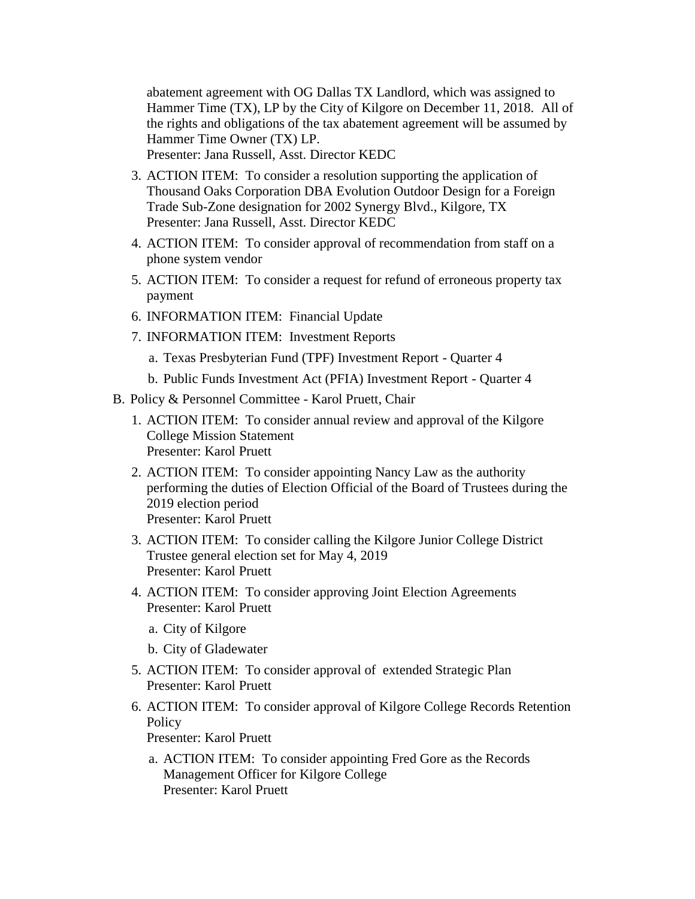abatement agreement with OG Dallas TX Landlord, which was assigned to Hammer Time (TX), LP by the City of Kilgore on December 11, 2018. All of the rights and obligations of the tax abatement agreement will be assumed by Hammer Time Owner (TX) LP. Presenter: Jana Russell, Asst. Director KEDC

- 3. ACTION ITEM: To consider a resolution supporting the application of Thousand Oaks Corporation DBA Evolution Outdoor Design for a Foreign Trade Sub-Zone designation for 2002 Synergy Blvd., Kilgore, TX Presenter: Jana Russell, Asst. Director KEDC
- 4. ACTION ITEM: To consider approval of recommendation from staff on a phone system vendor
- 5. ACTION ITEM: To consider a request for refund of erroneous property tax payment
- 6. INFORMATION ITEM: Financial Update
- 7. INFORMATION ITEM: Investment Reports
	- a. Texas Presbyterian Fund (TPF) Investment Report Quarter 4
	- b. Public Funds Investment Act (PFIA) Investment Report Quarter 4
- B. Policy & Personnel Committee Karol Pruett, Chair
	- 1. ACTION ITEM: To consider annual review and approval of the Kilgore College Mission Statement Presenter: Karol Pruett
	- 2. ACTION ITEM: To consider appointing Nancy Law as the authority performing the duties of Election Official of the Board of Trustees during the 2019 election period Presenter: Karol Pruett
	- 3. ACTION ITEM: To consider calling the Kilgore Junior College District Trustee general election set for May 4, 2019 Presenter: Karol Pruett
	- 4. ACTION ITEM: To consider approving Joint Election Agreements Presenter: Karol Pruett
		- a. City of Kilgore
		- b. City of Gladewater
	- 5. ACTION ITEM: To consider approval of extended Strategic Plan Presenter: Karol Pruett
	- 6. ACTION ITEM: To consider approval of Kilgore College Records Retention **Policy**

Presenter: Karol Pruett

a. ACTION ITEM: To consider appointing Fred Gore as the Records Management Officer for Kilgore College Presenter: Karol Pruett